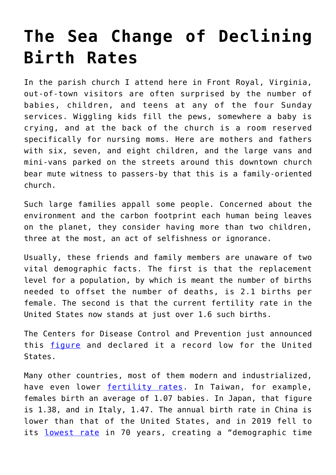## **[The Sea Change of Declining](https://intellectualtakeout.org/2021/05/the-sea-change-of-declining-birth-rates/) [Birth Rates](https://intellectualtakeout.org/2021/05/the-sea-change-of-declining-birth-rates/)**

In the parish church I attend here in Front Royal, Virginia, out-of-town visitors are often surprised by the number of babies, children, and teens at any of the four Sunday services. Wiggling kids fill the pews, somewhere a baby is crying, and at the back of the church is a room reserved specifically for nursing moms. Here are mothers and fathers with six, seven, and eight children, and the large vans and mini-vans parked on the streets around this downtown church bear mute witness to passers-by that this is a family-oriented church.

Such large families appall some people. Concerned about the environment and the carbon footprint each human being leaves on the planet, they consider having more than two children, three at the most, an act of selfishness or ignorance.

Usually, these friends and family members are unaware of two vital demographic facts. The first is that the replacement level for a population, by which is meant the number of births needed to offset the number of deaths, is 2.1 births per female. The second is that the current fertility rate in the United States now stands at just over 1.6 such births.

The Centers for Disease Control and Prevention just announced this [figure](https://www.cdc.gov/nchs/data/vsrr/vsrr012-508.pdf) and declared it a record low for the United States.

Many other countries, most of them modern and industrialized, have even lower [fertility rates](https://www.statista.com/statistics/268083/countries-with-the-lowest-fertility-rates/). In Taiwan, for example, females birth an average of 1.07 babies. In Japan, that figure is 1.38, and in Italy, 1.47. The annual birth rate in China is lower than that of the United States, and in 2019 fell to its [lowest rate](https://www.bbc.com/news/world-asia-china-51145251) in 70 years, creating a "demographic time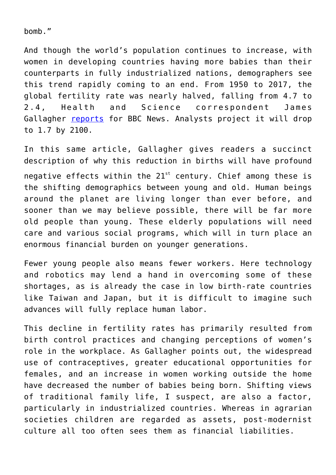bomb."

And though the world's population continues to increase, with women in developing countries having more babies than their counterparts in fully industrialized nations, demographers see this trend rapidly coming to an end. From 1950 to 2017, the global fertility rate was nearly halved, falling from 4.7 to 2.4, Health and Science correspondent James Gallagher [reports](https://www.bbc.com/news/health-53409521) for BBC News. Analysts project it will drop to 1.7 by 2100.

In this same article, Gallagher gives readers a succinct description of why this reduction in births will have profound negative effects within the  $21^{st}$  century. Chief among these is the shifting demographics between young and old. Human beings around the planet are living longer than ever before, and sooner than we may believe possible, there will be far more old people than young. These elderly populations will need care and various social programs, which will in turn place an enormous financial burden on younger generations.

Fewer young people also means fewer workers. Here technology and robotics may lend a hand in overcoming some of these shortages, as is already the case in low birth-rate countries like Taiwan and Japan, but it is difficult to imagine such advances will fully replace human labor.

This decline in fertility rates has primarily resulted from birth control practices and changing perceptions of women's role in the workplace. As Gallagher points out, the widespread use of contraceptives, greater educational opportunities for females, and an increase in women working outside the home have decreased the number of babies being born. Shifting views of traditional family life, I suspect, are also a factor, particularly in industrialized countries. Whereas in agrarian societies children are regarded as assets, post-modernist culture all too often sees them as financial liabilities.